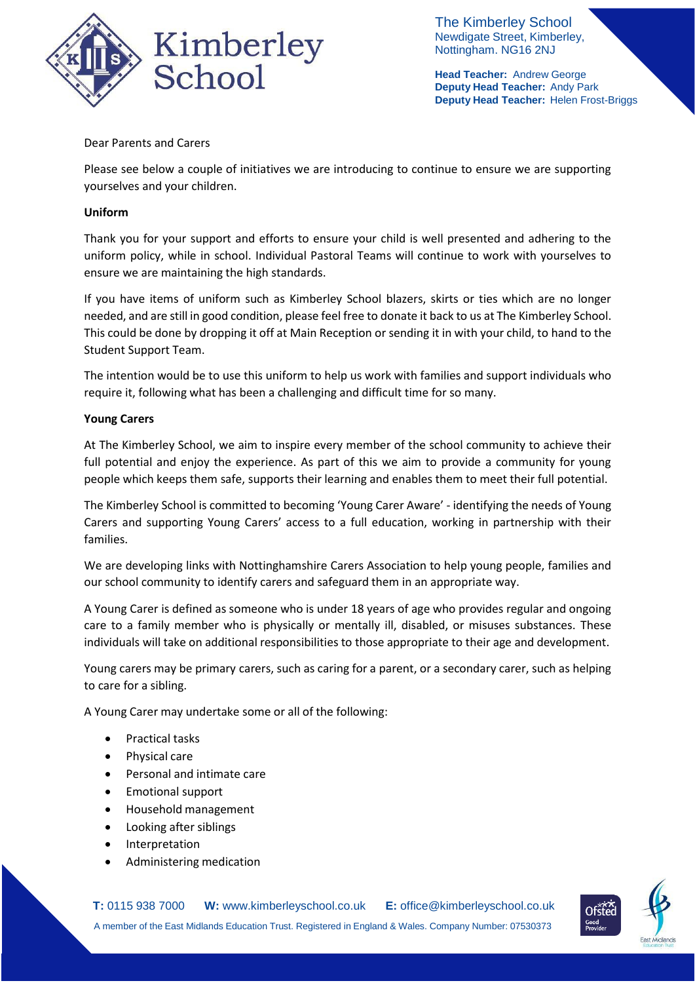

The Kimberley School Newdigate Street, Kimberley, Nottingham. NG16 2NJ

**Head Teacher:** Andrew George **Deputy Head Teacher:** Andy Park **Deputy Head Teacher:** Helen Frost-Briggs

## Dear Parents and Carers

Please see below a couple of initiatives we are introducing to continue to ensure we are supporting yourselves and your children.

## **Uniform**

Thank you for your support and efforts to ensure your child is well presented and adhering to the uniform policy, while in school. Individual Pastoral Teams will continue to work with yourselves to ensure we are maintaining the high standards.

If you have items of uniform such as Kimberley School blazers, skirts or ties which are no longer needed, and are still in good condition, please feel free to donate it back to us at The Kimberley School. This could be done by dropping it off at Main Reception or sending it in with your child, to hand to the Student Support Team.

The intention would be to use this uniform to help us work with families and support individuals who require it, following what has been a challenging and difficult time for so many.

## **Young Carers**

At The Kimberley School, we aim to inspire every member of the school community to achieve their full potential and enjoy the experience. As part of this we aim to provide a community for young people which keeps them safe, supports their learning and enables them to meet their full potential.

The Kimberley School is committed to becoming 'Young Carer Aware' - identifying the needs of Young Carers and supporting Young Carers' access to a full education, working in partnership with their families.

We are developing links with Nottinghamshire Carers Association to help young people, families and our school community to identify carers and safeguard them in an appropriate way.

A Young Carer is defined as someone who is under 18 years of age who provides regular and ongoing care to a family member who is physically or mentally ill, disabled, or misuses substances. These individuals will take on additional responsibilities to those appropriate to their age and development.

Young carers may be primary carers, such as caring for a parent, or a secondary carer, such as helping to care for a sibling.

A Young Carer may undertake some or all of the following:

- Practical tasks
- Physical care
- Personal and intimate care
- Emotional support
- Household management
- Looking after siblings
- **•** Interpretation
- Administering medication

**T:** 0115 938 7000 **W:** [www.kimberleyschool.co.uk](http://www.kimberleyschool.co.uk/) **E:** [office@kimberleyschool.co.uk](mailto:office@kimberleyschool.co.uk) A member of the East Midlands Education Trust. Registered in England & Wales. Company Number: 07530373